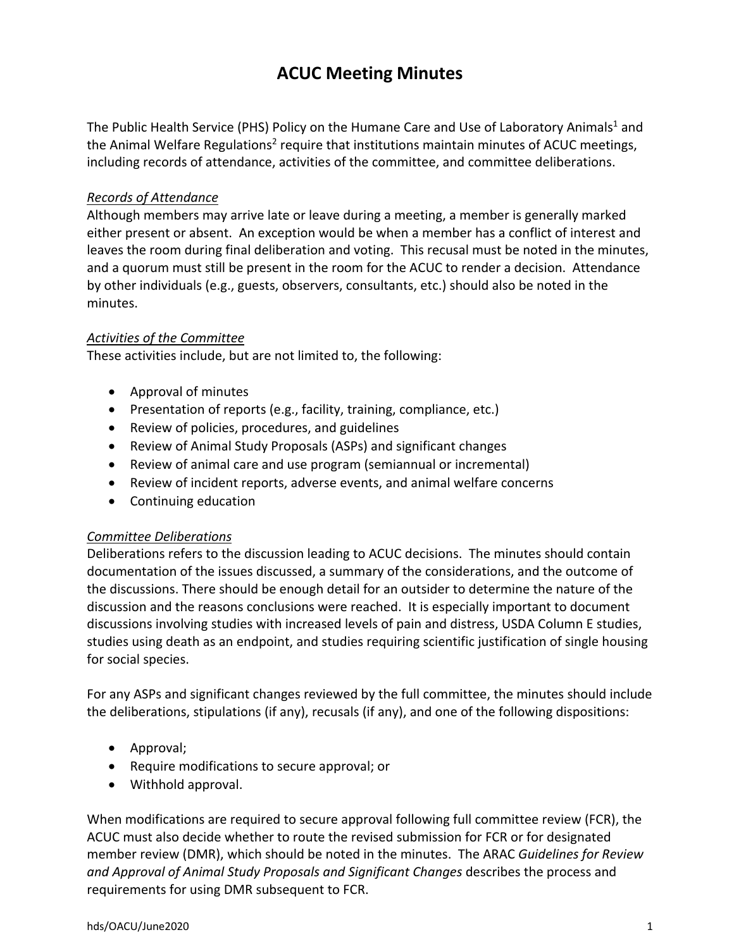# **ACUC Meeting Minutes**

The Public Health Service (PHS) Policy on the Humane Care and Use of Laboratory Animals<sup>1</sup> and the Animal Welfare Regulations<sup>2</sup> require that institutions maintain minutes of ACUC meetings, including records of attendance, activities of the committee, and committee deliberations.

### *Records of Attendance*

Although members may arrive late or leave during a meeting, a member is generally marked either present or absent. An exception would be when a member has a conflict of interest and leaves the room during final deliberation and voting. This recusal must be noted in the minutes, and a quorum must still be present in the room for the ACUC to render a decision. Attendance by other individuals (e.g., guests, observers, consultants, etc.) should also be noted in the minutes.

#### *Activities of the Committee*

These activities include, but are not limited to, the following:

- Approval of minutes
- Presentation of reports (e.g., facility, training, compliance, etc.)
- Review of policies, procedures, and guidelines
- Review of Animal Study Proposals (ASPs) and significant changes
- Review of animal care and use program (semiannual or incremental)
- Review of incident reports, adverse events, and animal welfare concerns
- Continuing education

#### *Committee Deliberations*

Deliberations refers to the discussion leading to ACUC decisions. The minutes should contain documentation of the issues discussed, a summary of the considerations, and the outcome of the discussions. There should be enough detail for an outsider to determine the nature of the discussion and the reasons conclusions were reached. It is especially important to document discussions involving studies with increased levels of pain and distress, USDA Column E studies, studies using death as an endpoint, and studies requiring scientific justification of single housing for social species.

For any ASPs and significant changes reviewed by the full committee, the minutes should include the deliberations, stipulations (if any), recusals (if any), and one of the following dispositions:

- Approval;
- Require modifications to secure approval; or
- Withhold approval.

When modifications are required to secure approval following full committee review (FCR), the ACUC must also decide whether to route the revised submission for FCR or for designated member review (DMR), which should be noted in the minutes. The ARAC *Guidelines for Review and Approval of Animal Study Proposals and Significant Changes* describes the process and requirements for using DMR subsequent to FCR.